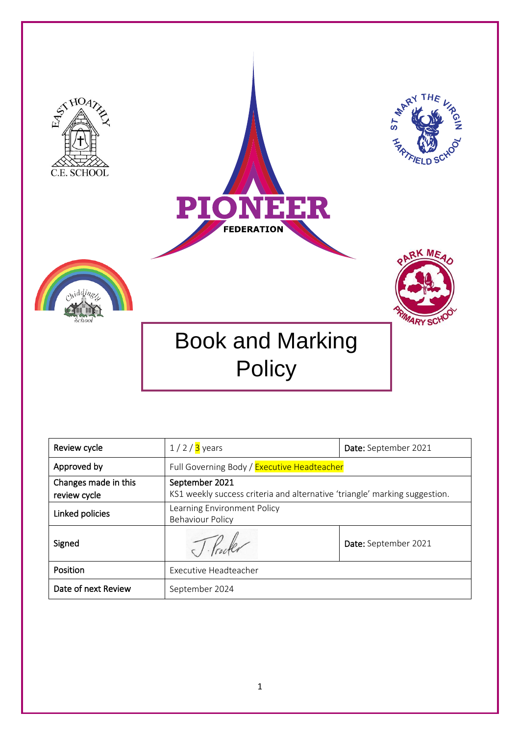

| Review cycle                         | $1/2/3$ years                                                                                | Date: September 2021 |  |
|--------------------------------------|----------------------------------------------------------------------------------------------|----------------------|--|
| Approved by                          | Full Governing Body / Executive Headteacher                                                  |                      |  |
| Changes made in this<br>review cycle | September 2021<br>KS1 weekly success criteria and alternative 'triangle' marking suggestion. |                      |  |
| Linked policies                      | Learning Environment Policy<br><b>Behaviour Policy</b>                                       |                      |  |
| Signed                               |                                                                                              | Date: September 2021 |  |
| Position                             | Executive Headteacher                                                                        |                      |  |
| Date of next Review                  | September 2024                                                                               |                      |  |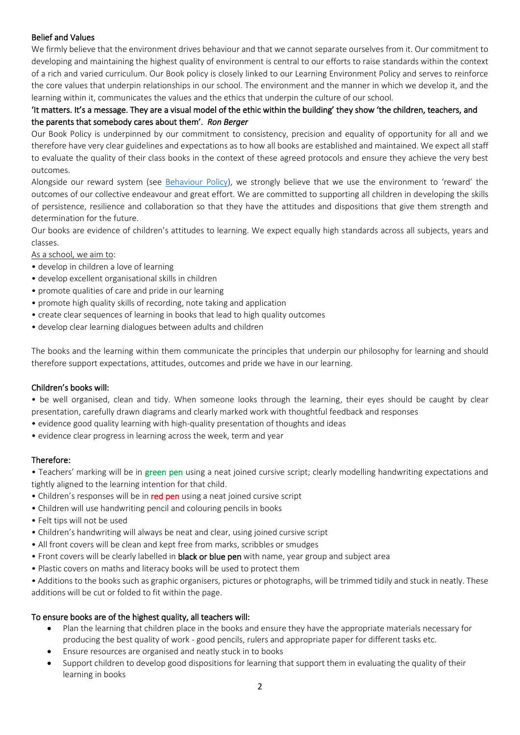## Belief and Values

We firmly believe that the environment drives behaviour and that we cannot separate ourselves from it. Our commitment to developing and maintaining the highest quality of environment is central to our efforts to raise standards within the context of a rich and varied curriculum. Our Book policy is closely linked to our Learning Environment Policy and serves to reinforce the core values that underpin relationships in our school. The environment and the manner in which we develop it, and the learning within it, communicates the values and the ethics that underpin the culture of our school.

# 'It matters. It's a message. They are a visual model of the ethic within the building' they show 'the children, teachers, and the parents that somebody cares about them'. *Ron Berger*

Our Book Policy is underpinned by our commitment to consistency, precision and equality of opportunity for all and we therefore have very clear guidelines and expectations as to how all books are established and maintained. We expect all staff to evaluate the quality of their class books in the context of these agreed protocols and ensure they achieve the very best outcomes.

Alongside our reward system (see [Behaviour Policy](https://www.hartfieldschool.co.uk/wp-content/uploads/2019/10/Behaviour-Discipline-Policy.pdf)), we strongly believe that we use the environment to 'reward' the outcomes of our collective endeavour and great effort. We are committed to supporting all children in developing the skills of persistence, resilience and collaboration so that they have the attitudes and dispositions that give them strength and determination for the future.

Our books are evidence of children's attitudes to learning. We expect equally high standards across all subjects, years and classes.

As a school, we aim to:

- develop in children a love of learning
- develop excellent organisational skills in children
- promote qualities of care and pride in our learning
- promote high quality skills of recording, note taking and application
- create clear sequences of learning in books that lead to high quality outcomes
- develop clear learning dialogues between adults and children

The books and the learning within them communicate the principles that underpin our philosophy for learning and should therefore support expectations, attitudes, outcomes and pride we have in our learning.

#### Children's books will:

• be well organised, clean and tidy. When someone looks through the learning, their eyes should be caught by clear presentation, carefully drawn diagrams and clearly marked work with thoughtful feedback and responses

- evidence good quality learning with high-quality presentation of thoughts and ideas
- evidence clear progress in learning across the week, term and year

#### Therefore:

• Teachers' marking will be in green pen using a neat joined cursive script; clearly modelling handwriting expectations and tightly aligned to the learning intention for that child.

- Children's responses will be in red pen using a neat joined cursive script
- Children will use handwriting pencil and colouring pencils in books
- Felt tips will not be used
- Children's handwriting will always be neat and clear, using joined cursive script
- All front covers will be clean and kept free from marks, scribbles or smudges
- Front covers will be clearly labelled in **black or blue pen** with name, year group and subject area
- Plastic covers on maths and literacy books will be used to protect them
- Additions to the books such as graphic organisers, pictures or photographs, will be trimmed tidily and stuck in neatly. These additions will be cut or folded to fit within the page.

#### To ensure books are of the highest quality, all teachers will:

- Plan the learning that children place in the books and ensure they have the appropriate materials necessary for producing the best quality of work - good pencils, rulers and appropriate paper for different tasks etc.
- Ensure resources are organised and neatly stuck in to books
- Support children to develop good dispositions for learning that support them in evaluating the quality of their learning in books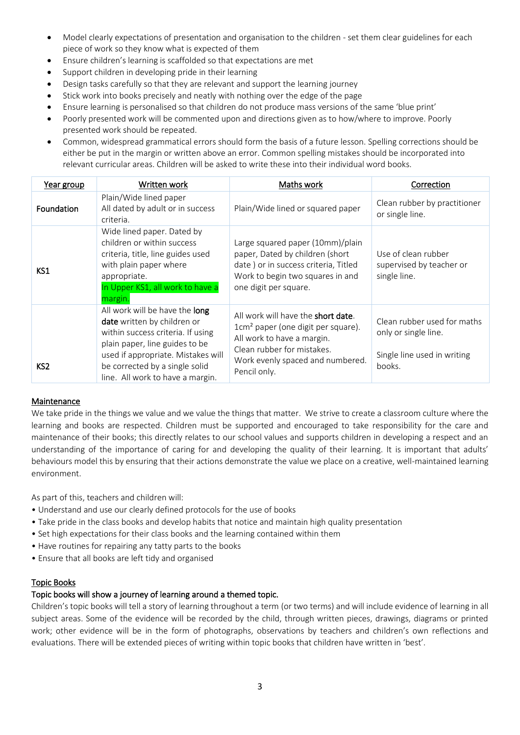- Model clearly expectations of presentation and organisation to the children set them clear guidelines for each piece of work so they know what is expected of them
- Ensure children's learning is scaffolded so that expectations are met
- Support children in developing pride in their learning
- Design tasks carefully so that they are relevant and support the learning journey
- Stick work into books precisely and neatly with nothing over the edge of the page
- Ensure learning is personalised so that children do not produce mass versions of the same 'blue print'
- Poorly presented work will be commented upon and directions given as to how/where to improve. Poorly presented work should be repeated.
- Common, widespread grammatical errors should form the basis of a future lesson. Spelling corrections should be either be put in the margin or written above an error. Common spelling mistakes should be incorporated into relevant curricular areas. Children will be asked to write these into their individual word books.

| Year group      | Written work                                                                                                                                                                                                                                     | Maths work                                                                                                                                                                                                   | Correction                                                                                   |
|-----------------|--------------------------------------------------------------------------------------------------------------------------------------------------------------------------------------------------------------------------------------------------|--------------------------------------------------------------------------------------------------------------------------------------------------------------------------------------------------------------|----------------------------------------------------------------------------------------------|
| Foundation      | Plain/Wide lined paper<br>All dated by adult or in success<br>criteria.                                                                                                                                                                          | Plain/Wide lined or squared paper                                                                                                                                                                            | Clean rubber by practitioner<br>or single line.                                              |
| KS1             | Wide lined paper. Dated by<br>children or within success<br>criteria, title, line guides used<br>with plain paper where<br>appropriate.<br>In Upper KS1, all work to have a<br>margin.                                                           | Large squared paper (10mm)/plain<br>paper, Dated by children (short<br>date ) or in success criteria, Titled<br>Work to begin two squares in and<br>one digit per square.                                    | Use of clean rubber<br>supervised by teacher or<br>single line.                              |
| KS <sub>2</sub> | All work will be have the long<br>date written by children or<br>within success criteria. If using<br>plain paper, line guides to be<br>used if appropriate. Mistakes will<br>be corrected by a single solid<br>line. All work to have a margin. | All work will have the <b>short date</b> .<br>1cm <sup>2</sup> paper (one digit per square).<br>All work to have a margin.<br>Clean rubber for mistakes.<br>Work evenly spaced and numbered.<br>Pencil only. | Clean rubber used for maths<br>only or single line.<br>Single line used in writing<br>books. |

#### Maintenance

We take pride in the things we value and we value the things that matter. We strive to create a classroom culture where the learning and books are respected. Children must be supported and encouraged to take responsibility for the care and maintenance of their books; this directly relates to our school values and supports children in developing a respect and an understanding of the importance of caring for and developing the quality of their learning. It is important that adults' behaviours model this by ensuring that their actions demonstrate the value we place on a creative, well-maintained learning environment.

As part of this, teachers and children will:

- Understand and use our clearly defined protocols for the use of books
- Take pride in the class books and develop habits that notice and maintain high quality presentation
- Set high expectations for their class books and the learning contained within them
- Have routines for repairing any tatty parts to the books
- Ensure that all books are left tidy and organised

#### Topic Books

#### Topic books will show a journey of learning around a themed topic.

Children's topic books will tell a story of learning throughout a term (or two terms) and will include evidence of learning in all subject areas. Some of the evidence will be recorded by the child, through written pieces, drawings, diagrams or printed work; other evidence will be in the form of photographs, observations by teachers and children's own reflections and evaluations. There will be extended pieces of writing within topic books that children have written in 'best'.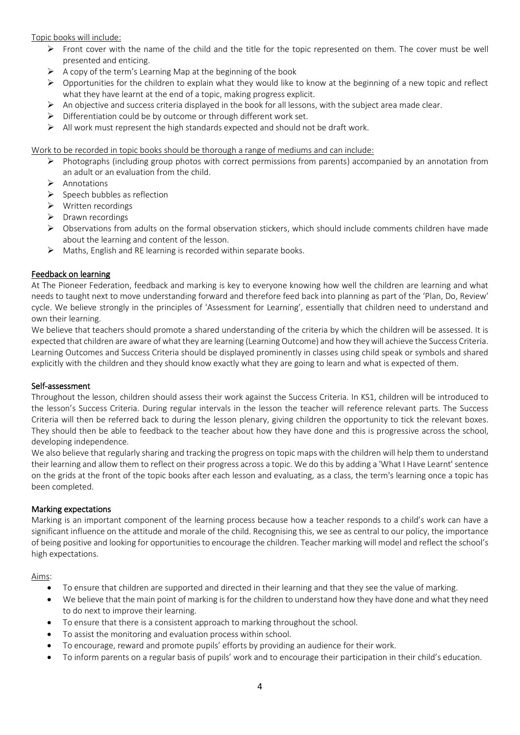Topic books will include:

- Front cover with the name of the child and the title for the topic represented on them. The cover must be well presented and enticing.
- $\triangleright$  A copy of the term's Learning Map at the beginning of the book
- $\triangleright$  Opportunities for the children to explain what they would like to know at the beginning of a new topic and reflect what they have learnt at the end of a topic, making progress explicit.
- $\triangleright$  An objective and success criteria displayed in the book for all lessons, with the subject area made clear.
- ➢ Differentiation could be by outcome or through different work set.
- $\triangleright$  All work must represent the high standards expected and should not be draft work.

Work to be recorded in topic books should be thorough a range of mediums and can include:

- ➢ Photographs (including group photos with correct permissions from parents) accompanied by an annotation from an adult or an evaluation from the child.
- ➢ Annotations
- ➢ Speech bubbles as reflection
- ➢ Written recordings
- ➢ Drawn recordings
- ➢ Observations from adults on the formal observation stickers, which should include comments children have made about the learning and content of the lesson.
- $\triangleright$  Maths, English and RE learning is recorded within separate books.

## Feedback on learning

At The Pioneer Federation, feedback and marking is key to everyone knowing how well the children are learning and what needs to taught next to move understanding forward and therefore feed back into planning as part of the 'Plan, Do, Review' cycle. We believe strongly in the principles of 'Assessment for Learning', essentially that children need to understand and own their learning.

We believe that teachers should promote a shared understanding of the criteria by which the children will be assessed. It is expected that children are aware of what they are learning (Learning Outcome) and how they will achieve the Success Criteria. Learning Outcomes and Success Criteria should be displayed prominently in classes using child speak or symbols and shared explicitly with the children and they should know exactly what they are going to learn and what is expected of them.

#### Self-assessment

Throughout the lesson, children should assess their work against the Success Criteria. In KS1, children will be introduced to the lesson's Success Criteria. During regular intervals in the lesson the teacher will reference relevant parts. The Success Criteria will then be referred back to during the lesson plenary, giving children the opportunity to tick the relevant boxes. They should then be able to feedback to the teacher about how they have done and this is progressive across the school, developing independence.

We also believe that regularly sharing and tracking the progress on topic maps with the children will help them to understand their learning and allow them to reflect on their progress across a topic. We do this by adding a 'What I Have Learnt' sentence on the grids at the front of the topic books after each lesson and evaluating, as a class, the term's learning once a topic has been completed.

#### Marking expectations

Marking is an important component of the learning process because how a teacher responds to a child's work can have a significant influence on the attitude and morale of the child. Recognising this, we see as central to our policy, the importance of being positive and looking for opportunities to encourage the children. Teacher marking will model and reflect the school's high expectations.

#### Aims:

- To ensure that children are supported and directed in their learning and that they see the value of marking.
- We believe that the main point of marking is for the children to understand how they have done and what they need to do next to improve their learning.
- To ensure that there is a consistent approach to marking throughout the school.
- To assist the monitoring and evaluation process within school.
- To encourage, reward and promote pupils' efforts by providing an audience for their work.
- To inform parents on a regular basis of pupils' work and to encourage their participation in their child's education.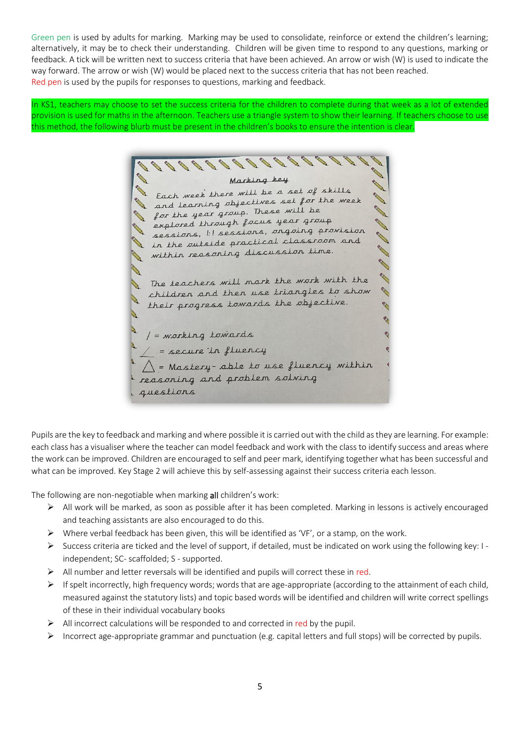Green pen is used by adults for marking. Marking may be used to consolidate, reinforce or extend the children's learning; alternatively, it may be to check their understanding. Children will be given time to respond to any questions, marking or feedback. A tick will be written next to success criteria that have been achieved. An arrow or wish (W) is used to indicate the way forward. The arrow or wish (W) would be placed next to the success criteria that has not been reached. Red pen is used by the pupils for responses to questions, marking and feedback.

In KS1, teachers may choose to set the success criteria for the children to complete during that week as a lot of extended provision is used for maths in the afternoon. Teachers use a triangle system to show their learning. If teachers choose to use this method, the following blurb must be present in the children's books to ensure the intention is clear.

**SALES** Marking key Each week there will be a set of skills and learning objectives set for the week for the year group. These will be explored through further games of provision **Contract Contract Contract Contract Contract Contract Contract Contract Contract Contract Contract Contract C** sessions, I'll sessured, and classroom and A R in the outsine procession ...<br>within reasoning discussion time. **CARL SERVICE RA** The teachers will mark the work with the children and then use triangles to show R their progress towards the objective. P **P** / = working towards  $\angle$  = secure in fluency<br> $\triangle$  = secure in fluency<br> $\triangle$  = Mastery-able to use fluency within reasoning and problem solving guestions

Pupils are the key to feedback and marking and where possible it is carried out with the child as they are learning. For example: each class has a visualiser where the teacher can model feedback and work with the class to identify success and areas where the work can be improved. Children are encouraged to self and peer mark, identifying together what has been successful and what can be improved. Key Stage 2 will achieve this by self-assessing against their success criteria each lesson.

The following are non-negotiable when marking all children's work:

- ➢ All work will be marked, as soon as possible after it has been completed. Marking in lessons is actively encouraged and teaching assistants are also encouraged to do this.
- ➢ Where verbal feedback has been given, this will be identified as 'VF', or a stamp, on the work.
- ➢ Success criteria are ticked and the level of support, if detailed, must be indicated on work using the following key: I independent; SC- scaffolded; S - supported.
- ➢ All number and letter reversals will be identified and pupils will correct these in red.
- $\triangleright$  If spelt incorrectly, high frequency words; words that are age-appropriate (according to the attainment of each child, measured against the statutory lists) and topic based words will be identified and children will write correct spellings of these in their individual vocabulary books
- $\triangleright$  All incorrect calculations will be responded to and corrected in red by the pupil.
- ➢ Incorrect age-appropriate grammar and punctuation (e.g. capital letters and full stops) will be corrected by pupils.